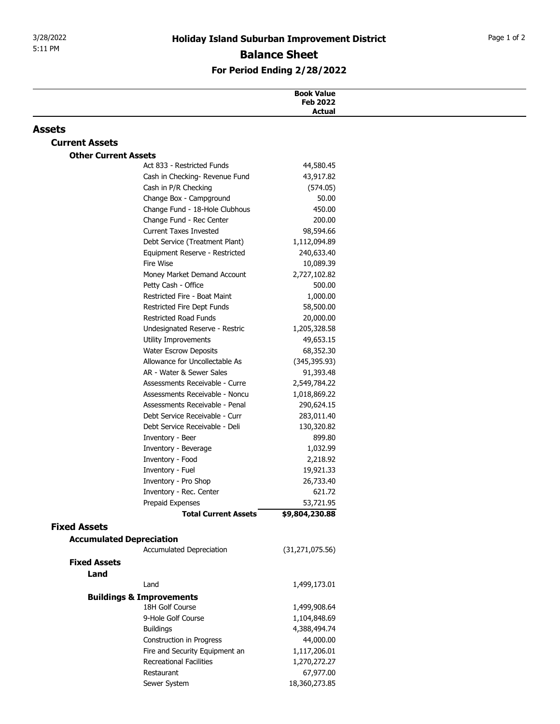| 5:11 PM<br><b>Assets</b><br><b>Current Assets</b><br><b>Other Current Assets</b> | Act 833 - Restricted Funds<br>Cash in Checking- Revenue Fund<br>Cash in P/R Checking | <b>Holiday Island Suburban Improvement District</b><br><b>Balance Sheet</b><br>For Period Ending 2/28/2022<br><b>Book Value</b><br><b>Feb 2022</b><br><b>Actual</b><br>44,580.45 |  |
|----------------------------------------------------------------------------------|--------------------------------------------------------------------------------------|----------------------------------------------------------------------------------------------------------------------------------------------------------------------------------|--|
|                                                                                  |                                                                                      |                                                                                                                                                                                  |  |
|                                                                                  |                                                                                      |                                                                                                                                                                                  |  |
|                                                                                  |                                                                                      |                                                                                                                                                                                  |  |
|                                                                                  |                                                                                      |                                                                                                                                                                                  |  |
|                                                                                  |                                                                                      |                                                                                                                                                                                  |  |
|                                                                                  |                                                                                      |                                                                                                                                                                                  |  |
|                                                                                  |                                                                                      |                                                                                                                                                                                  |  |
|                                                                                  |                                                                                      |                                                                                                                                                                                  |  |
|                                                                                  |                                                                                      | 43,917.82                                                                                                                                                                        |  |
|                                                                                  |                                                                                      | (574.05)                                                                                                                                                                         |  |
|                                                                                  | Change Box - Campground                                                              | 50.00                                                                                                                                                                            |  |
|                                                                                  | Change Fund - 18-Hole Clubhous                                                       | 450.00                                                                                                                                                                           |  |
|                                                                                  | Change Fund - Rec Center                                                             | 200.00                                                                                                                                                                           |  |
|                                                                                  | <b>Current Taxes Invested</b>                                                        | 98,594.66                                                                                                                                                                        |  |
|                                                                                  | Debt Service (Treatment Plant)                                                       | 1,112,094.89                                                                                                                                                                     |  |
|                                                                                  | Equipment Reserve - Restricted                                                       | 240,633.40                                                                                                                                                                       |  |
|                                                                                  | Fire Wise<br>Money Market Demand Account                                             | 10,089.39<br>2,727,102.82                                                                                                                                                        |  |
|                                                                                  | Petty Cash - Office                                                                  | 500.00                                                                                                                                                                           |  |
|                                                                                  | Restricted Fire - Boat Maint                                                         | 1,000.00                                                                                                                                                                         |  |
|                                                                                  | Restricted Fire Dept Funds                                                           | 58,500.00                                                                                                                                                                        |  |
|                                                                                  | <b>Restricted Road Funds</b>                                                         | 20,000.00                                                                                                                                                                        |  |
|                                                                                  | Undesignated Reserve - Restric                                                       | 1,205,328.58                                                                                                                                                                     |  |
|                                                                                  | Utility Improvements                                                                 | 49,653.15                                                                                                                                                                        |  |
|                                                                                  | <b>Water Escrow Deposits</b><br>Allowance for Uncollectable As                       | 68,352.30<br>(345, 395.93)                                                                                                                                                       |  |
|                                                                                  | AR - Water & Sewer Sales                                                             | 91,393.48                                                                                                                                                                        |  |
|                                                                                  | Assessments Receivable - Curre                                                       | 2,549,784.22                                                                                                                                                                     |  |
|                                                                                  | Assessments Receivable - Noncu                                                       | 1,018,869.22                                                                                                                                                                     |  |
|                                                                                  | Assessments Receivable - Penal                                                       | 290,624.15                                                                                                                                                                       |  |
|                                                                                  | Debt Service Receivable - Curr                                                       | 283,011.40                                                                                                                                                                       |  |
|                                                                                  | Debt Service Receivable - Deli                                                       | 130,320.82                                                                                                                                                                       |  |
|                                                                                  | Inventory - Beer                                                                     | 899.80                                                                                                                                                                           |  |
|                                                                                  | Inventory - Beverage<br>Inventory - Food                                             | 1,032.99<br>2,218.92                                                                                                                                                             |  |
|                                                                                  | Inventory - Fuel                                                                     | 19,921.33                                                                                                                                                                        |  |
|                                                                                  | Inventory - Pro Shop                                                                 | 26,733.40                                                                                                                                                                        |  |
|                                                                                  | Inventory - Rec. Center                                                              | 621.72                                                                                                                                                                           |  |
|                                                                                  | Prepaid Expenses                                                                     | 53,721.95                                                                                                                                                                        |  |
|                                                                                  | <b>Total Current Assets</b>                                                          | \$9,804,230.88                                                                                                                                                                   |  |
| <b>Fixed Assets</b>                                                              |                                                                                      |                                                                                                                                                                                  |  |
|                                                                                  | <b>Accumulated Depreciation</b><br>Accumulated Depreciation                          | (31, 271, 075.56)                                                                                                                                                                |  |
| <b>Fixed Assets</b>                                                              |                                                                                      |                                                                                                                                                                                  |  |
| Land                                                                             |                                                                                      |                                                                                                                                                                                  |  |
|                                                                                  | Land                                                                                 | 1,499,173.01                                                                                                                                                                     |  |
|                                                                                  | <b>Buildings &amp; Improvements</b>                                                  |                                                                                                                                                                                  |  |
|                                                                                  | 18H Golf Course                                                                      | 1,499,908.64                                                                                                                                                                     |  |
|                                                                                  | 9-Hole Golf Course                                                                   | 1,104,848.69                                                                                                                                                                     |  |
|                                                                                  | <b>Buildings</b>                                                                     | 4,388,494.74                                                                                                                                                                     |  |
|                                                                                  | Construction in Progress                                                             | 44,000.00                                                                                                                                                                        |  |
|                                                                                  | Fire and Security Equipment an                                                       | 1,117,206.01                                                                                                                                                                     |  |
|                                                                                  | <b>Recreational Facilities</b><br>Restaurant                                         | 1,270,272.27<br>67,977.00                                                                                                                                                        |  |
|                                                                                  | Sewer System                                                                         | 18,360,273.85                                                                                                                                                                    |  |